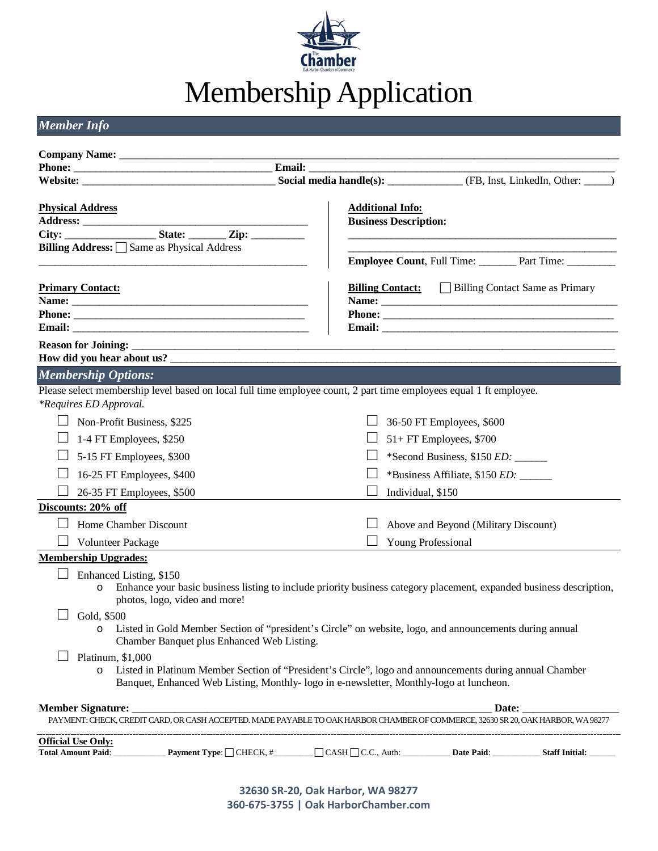

# Membership Application

*Member Info*

|                                                                                                                                                                        | Social media handle(s): ______________ (FB, Inst, LinkedIn, Other: _____)                                                                                                                         |                                                                                                                                                                                                                                      |  |  |  |  |  |
|------------------------------------------------------------------------------------------------------------------------------------------------------------------------|---------------------------------------------------------------------------------------------------------------------------------------------------------------------------------------------------|--------------------------------------------------------------------------------------------------------------------------------------------------------------------------------------------------------------------------------------|--|--|--|--|--|
| <b>Physical Address</b>                                                                                                                                                | <b>Additional Info:</b><br><b>Business Description:</b>                                                                                                                                           |                                                                                                                                                                                                                                      |  |  |  |  |  |
| Billing Address: Same as Physical Address                                                                                                                              |                                                                                                                                                                                                   |                                                                                                                                                                                                                                      |  |  |  |  |  |
|                                                                                                                                                                        |                                                                                                                                                                                                   | <b>Employee Count, Full Time:</b> Part Time: ________                                                                                                                                                                                |  |  |  |  |  |
| <b>Primary Contact:</b>                                                                                                                                                | <b>Billing Contact:</b> Billing Contact Same as Primary                                                                                                                                           |                                                                                                                                                                                                                                      |  |  |  |  |  |
|                                                                                                                                                                        |                                                                                                                                                                                                   | Phone:                                                                                                                                                                                                                               |  |  |  |  |  |
|                                                                                                                                                                        |                                                                                                                                                                                                   | Email: <u>Department of the second contract of the second contract of the second contract of the second contract of the second contract of the second contract of the second contract of the second contract of the second contr</u> |  |  |  |  |  |
|                                                                                                                                                                        |                                                                                                                                                                                                   |                                                                                                                                                                                                                                      |  |  |  |  |  |
|                                                                                                                                                                        |                                                                                                                                                                                                   |                                                                                                                                                                                                                                      |  |  |  |  |  |
| <b>Membership Options:</b>                                                                                                                                             |                                                                                                                                                                                                   |                                                                                                                                                                                                                                      |  |  |  |  |  |
| *Requires ED Approval.                                                                                                                                                 | Please select membership level based on local full time employee count, 2 part time employees equal 1 ft employee.                                                                                |                                                                                                                                                                                                                                      |  |  |  |  |  |
| Non-Profit Business, \$225                                                                                                                                             | 36-50 FT Employees, \$600                                                                                                                                                                         |                                                                                                                                                                                                                                      |  |  |  |  |  |
| 1-4 FT Employees, \$250                                                                                                                                                | $51+FT$ Employees, \$700                                                                                                                                                                          |                                                                                                                                                                                                                                      |  |  |  |  |  |
| 5-15 FT Employees, \$300                                                                                                                                               |                                                                                                                                                                                                   |                                                                                                                                                                                                                                      |  |  |  |  |  |
| 16-25 FT Employees, \$400                                                                                                                                              | *Business Affiliate, \$150 <i>ED</i> : _____                                                                                                                                                      |                                                                                                                                                                                                                                      |  |  |  |  |  |
| 26-35 FT Employees, \$500                                                                                                                                              | Individual, \$150                                                                                                                                                                                 |                                                                                                                                                                                                                                      |  |  |  |  |  |
| Discounts: 20% off                                                                                                                                                     |                                                                                                                                                                                                   |                                                                                                                                                                                                                                      |  |  |  |  |  |
| Home Chamber Discount                                                                                                                                                  | Above and Beyond (Military Discount)                                                                                                                                                              |                                                                                                                                                                                                                                      |  |  |  |  |  |
| Volunteer Package                                                                                                                                                      | Young Professional                                                                                                                                                                                |                                                                                                                                                                                                                                      |  |  |  |  |  |
| <b>Membership Upgrades:</b>                                                                                                                                            |                                                                                                                                                                                                   |                                                                                                                                                                                                                                      |  |  |  |  |  |
| Enhanced Listing, \$150<br>$\circ$<br>photos, logo, video and more!                                                                                                    | Enhance your basic business listing to include priority business category placement, expanded business description,                                                                               |                                                                                                                                                                                                                                      |  |  |  |  |  |
| Gold, \$500<br>o Listed in Gold Member Section of "president's Circle" on website, logo, and announcements during annual<br>Chamber Banquet plus Enhanced Web Listing. |                                                                                                                                                                                                   |                                                                                                                                                                                                                                      |  |  |  |  |  |
| Platinum, \$1,000<br>$\circ$                                                                                                                                           | Listed in Platinum Member Section of "President's Circle", logo and announcements during annual Chamber<br>Banquet, Enhanced Web Listing, Monthly-logo in e-newsletter, Monthly-logo at luncheon. |                                                                                                                                                                                                                                      |  |  |  |  |  |
| <b>Member Signature:</b>                                                                                                                                               |                                                                                                                                                                                                   |                                                                                                                                                                                                                                      |  |  |  |  |  |
|                                                                                                                                                                        | PAYMENT: CHECK, CREDIT CARD, OR CASH ACCEPTED. MADE PAYABLE TO OAK HARBOR CHAMBER OF COMMERCE, 32630 SR 20, OAK HARBOR, WA 98277                                                                  |                                                                                                                                                                                                                                      |  |  |  |  |  |
| <b>Official Use Only:</b>                                                                                                                                              |                                                                                                                                                                                                   |                                                                                                                                                                                                                                      |  |  |  |  |  |
|                                                                                                                                                                        |                                                                                                                                                                                                   |                                                                                                                                                                                                                                      |  |  |  |  |  |